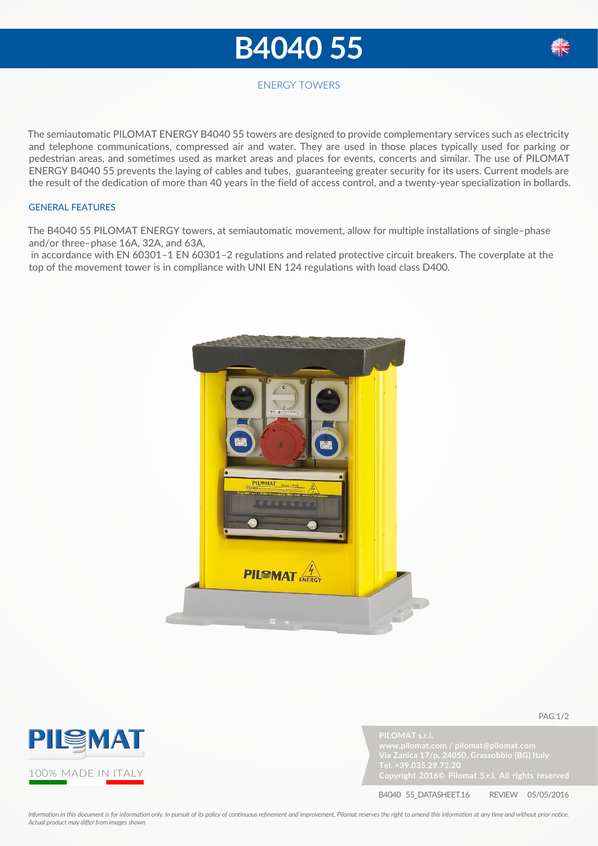## **B4040 55**



## ENERGY TOWERS

The semiautomatic PILOMAT ENERGY B4040 55 towers are designed to provide complementary services such as electricity and telephone communications, compressed air and water. They are used in those places typically used for parking or pedestrian areas, and sometimes used as market areas and places for events, concerts and similar. The use of PILOMAT ENERGY B4040 55 prevents the laying of cables and tubes, guaranteeing greater security for its users. Current models are the result of the dedication of more than 40 years in the field of access control, and a twenty-year specialization in bollards.

## GENERAL FEATURES

The B4040 55 PILOMAT ENERGY towers, at semiautomatic movement, allow for multiple installations of single–phase and/or three–phase 16A, 32A, and 63A,

 in accordance with EN 60301–1 EN 60301–2 regulations and related protective circuit breakers. The coverplate at the top of the movement tower is in compliance with UNI EN 124 regulations with load class D400.







pag.1/2

B4040 55\_DATASHEET.16 REVIEW 05/05/2016

*Information in this document is for information only. In pursuit of its policy of continuous refinement and improvement, Pilomat reserves the right to amend this information at any time and without prior notice. Actual product may differ from images shown*